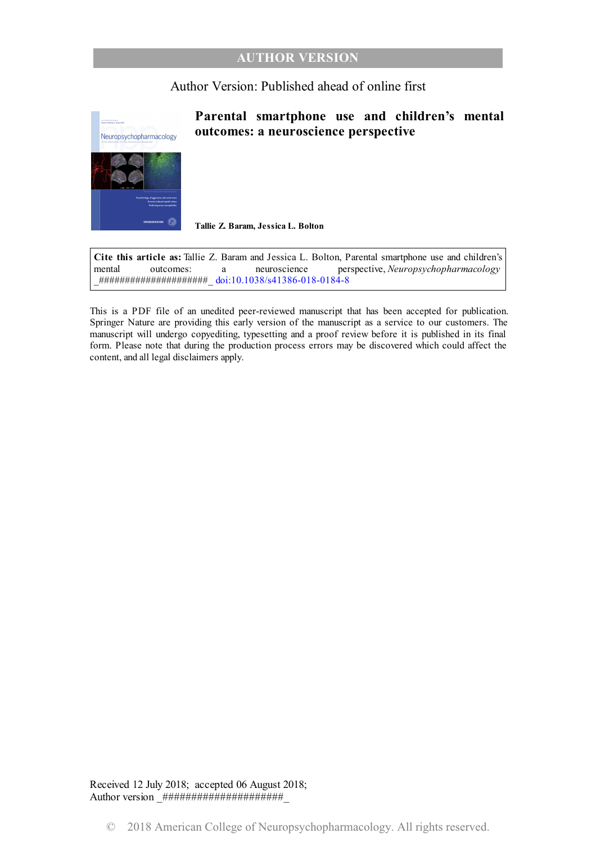### **AUTHOR VERSION**

## Author Version: Published ahead of online first



## **Parental smartphone use and children's mental outcomes: a neuroscience perspective**

**Tallie Z. Baram, Jessica L. Bolton**

**Cite this article as:** Tallie Z. Baram and Jessica L. Bolton, Parental smartphone use and children's mental outcomes: a neuroscience perspective, *Neuropsychopharmacology* \_#####################\_ [doi:10.1038/s41386-018-0184-8](https://doi.org/10.1038/s41386-018-0184-8)

This is a PDF file of an unedited peer-reviewed manuscript that has been accepted for publication. Springer Nature are providing this early version of the manuscript as a service to our customers. The manuscript will undergo copyediting, typesetting and a proof review before it is published in its final form. Please note that during the production process errors may be discovered which could affect the content, and all legal disclaimers apply.

Received 12 July 2018; accepted 06 August 2018; Author version \_#####################\_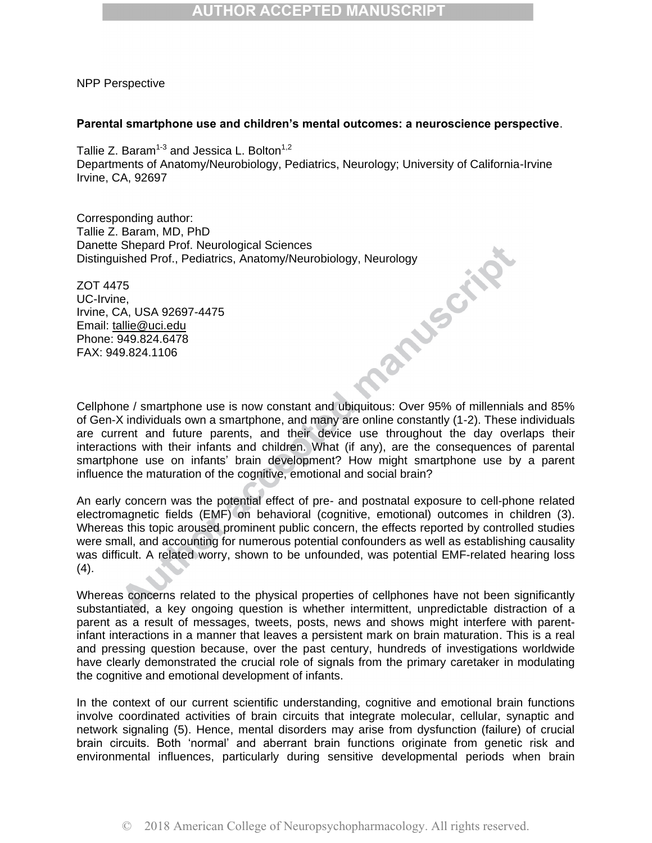# **AUTHOR ACCEPTED MANUSCRIPT**

NPP Perspective

#### **Parental smartphone use and children's mental outcomes: a neuroscience perspective**.

Tallie Z. Baram $^{1\text{-}3}$  and Jessica L. Bolton $^{1,2}$ Departments of Anatomy/Neurobiology, Pediatrics, Neurology; University of California-Irvine Irvine, CA, 92697

Corresponding author: Tallie Z. Baram, MD, PhD Danette Shepard Prof. Neurological Sciences

Distinguished Prof., Pediatrics, Anatomy/Neurobiology, Neurology<br>
ZOT 4475<br>
UC-Irvine, CA, USA 92697-4475<br>
Email: <u>tallie@uci.edu</u><br>
Phone: 949.824.6478<br>
FAX: 949.824.1106 ZOT 4475 UC-Irvine, Irvine, CA, USA 92697-4475 Email: [tallie@uci.edu](mailto:tallie@uci.edu) Phone: 949.824.6478 FAX: 949.824.1106

Cellphone / smartphone use is now constant and ubiquitous: Over 95% of millennials and 85% of Gen-X individuals own a smartphone, and many are online constantly (1-2). These individuals are current and future parents, and their device use throughout the day overlaps their interactions with their infants and children. What (if any), are the consequences of parental smartphone use on infants' brain development? How might smartphone use by a parent influence the maturation of the cognitive, emotional and social brain?

An early concern was the potential effect of pre- and postnatal exposure to cell-phone related electromagnetic fields (EMF) on behavioral (cognitive, emotional) outcomes in children (3). Whereas this topic aroused prominent public concern, the effects reported by controlled studies were small, and accounting for numerous potential confounders as well as establishing causality was difficult. A related worry, shown to be unfounded, was potential EMF-related hearing loss (4).

Whereas concerns related to the physical properties of cellphones have not been significantly substantiated, a key ongoing question is whether intermittent, unpredictable distraction of a parent as a result of messages, tweets, posts, news and shows might interfere with parentinfant interactions in a manner that leaves a persistent mark on brain maturation. This is a real and pressing question because, over the past century, hundreds of investigations worldwide have clearly demonstrated the crucial role of signals from the primary caretaker in modulating the cognitive and emotional development of infants.

In the context of our current scientific understanding, cognitive and emotional brain functions involve coordinated activities of brain circuits that integrate molecular, cellular, synaptic and network signaling (5). Hence, mental disorders may arise from dysfunction (failure) of crucial brain circuits. Both 'normal' and aberrant brain functions originate from genetic risk and environmental influences, particularly during sensitive developmental periods when brain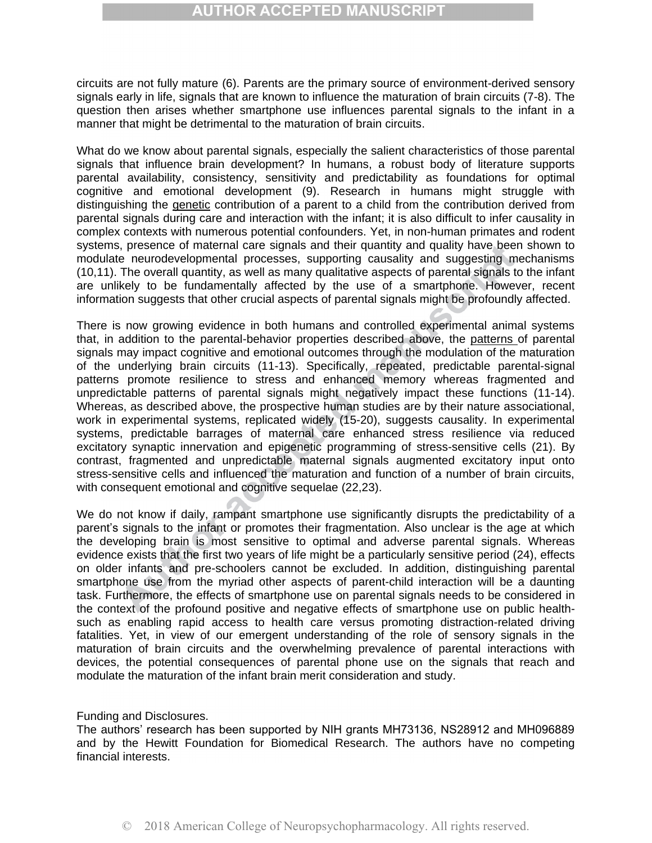## **AUTHOR ACCEPTED MANUSCRIPT**

circuits are not fully mature (6). Parents are the primary source of environment-derived sensory signals early in life, signals that are known to influence the maturation of brain circuits (7-8). The question then arises whether smartphone use influences parental signals to the infant in a manner that might be detrimental to the maturation of brain circuits.

What do we know about parental signals, especially the salient characteristics of those parental signals that influence brain development? In humans, a robust body of literature supports parental availability, consistency, sensitivity and predictability as foundations for optimal cognitive and emotional development (9). Research in humans might struggle with distinguishing the genetic contribution of a parent to a child from the contribution derived from parental signals during care and interaction with the infant; it is also difficult to infer causality in complex contexts with numerous potential confounders. Yet, in non-human primates and rodent systems, presence of maternal care signals and their quantity and quality have been shown to modulate neurodevelopmental processes, supporting causality and suggesting mechanisms (10,11). The overall quantity, as well as many qualitative aspects of parental signals to the infant are unlikely to be fundamentally affected by the use of a smartphone. However, recent information suggests that other crucial aspects of parental signals might be profoundly affected.

There is now growing evidence in both humans and controlled experimental animal systems that, in addition to the parental-behavior properties described above, the patterns of parental signals may impact cognitive and emotional outcomes through the modulation of the maturation of the underlying brain circuits (11-13). Specifically, repeated, predictable parental-signal patterns promote resilience to stress and enhanced memory whereas fragmented and unpredictable patterns of parental signals might negatively impact these functions (11-14). Whereas, as described above, the prospective human studies are by their nature associational, work in experimental systems, replicated widely (15-20), suggests causality. In experimental systems, predictable barrages of maternal care enhanced stress resilience via reduced excitatory synaptic innervation and epigenetic programming of stress-sensitive cells (21). By contrast, fragmented and unpredictable maternal signals augmented excitatory input onto stress-sensitive cells and influenced the maturation and function of a number of brain circuits, with consequent emotional and cognitive sequelae (22,23).

We do not know if daily, rampant smartphone use significantly disrupts the predictability of a parent's signals to the infant or promotes their fragmentation. Also unclear is the age at which the developing brain is most sensitive to optimal and adverse parental signals. Whereas evidence exists that the first two years of life might be a particularly sensitive period (24), effects on older infants and pre-schoolers cannot be excluded. In addition, distinguishing parental smartphone use from the myriad other aspects of parent-child interaction will be a daunting task. Furthermore, the effects of smartphone use on parental signals needs to be considered in the context of the profound positive and negative effects of smartphone use on public healthsuch as enabling rapid access to health care versus promoting distraction-related driving fatalities. Yet, in view of our emergent understanding of the role of sensory signals in the maturation of brain circuits and the overwhelming prevalence of parental interactions with devices, the potential consequences of parental phone use on the signals that reach and modulate the maturation of the infant brain merit consideration and study.

#### Funding and Disclosures.

The authors' research has been supported by NIH grants MH73136, NS28912 and MH096889 and by the Hewitt Foundation for Biomedical Research. The authors have no competing financial interests.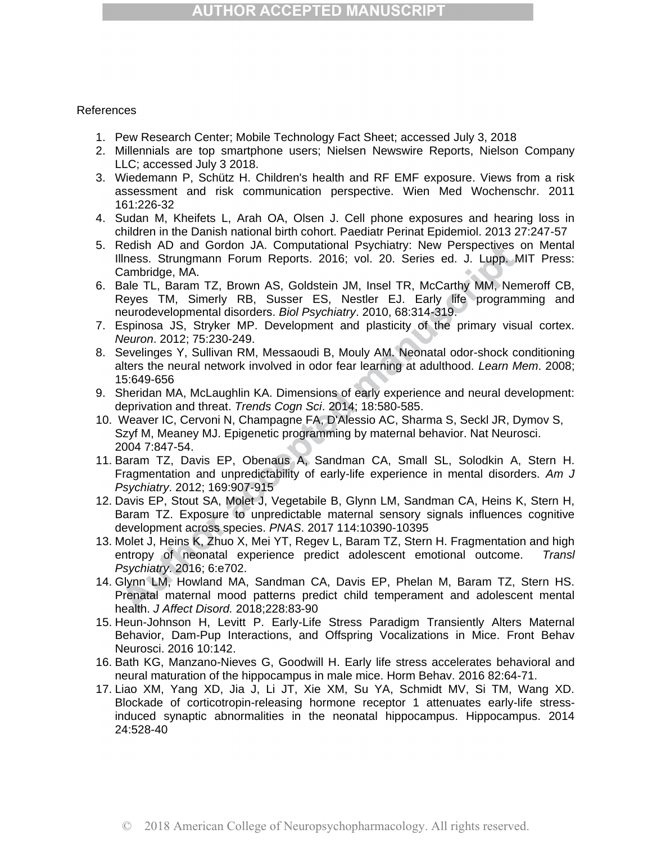## **AUTHOR ACCEPTED MANUSCRIPT**

### References

- 1. Pew Research Center; Mobile Technology Fact Sheet; accessed July 3, 2018
- 2. Millennials are top smartphone users; Nielsen Newswire Reports, Nielson Company LLC; accessed July 3 2018.
- 3. Wiedemann P, Schütz H. Children's health and RF EMF exposure. Views from a risk assessment and risk communication perspective. Wien Med Wochenschr. 2011 161:226-32
- 4. Sudan M, Kheifets L, Arah OA, Olsen J. Cell phone exposures and hearing loss in children in the Danish national birth cohort. Paediatr Perinat Epidemiol. 2013 27:247-57
- 5. Redish AD and Gordon JA. Computational Psychiatry: New Perspectives on Mental Illness. Strungmann Forum Reports. 2016; vol. 20. Series ed. J. Lupp. MIT Press: Cambridge, MA.
- 6. Bale TL, Baram TZ, Brown AS, Goldstein JM, Insel TR, McCarthy MM, Nemeroff CB, Reyes TM, Simerly RB, Susser ES, Nestler EJ. Early life programming and neurodevelopmental disorders. *Biol Psychiatry*. 2010, 68:314-319.
- 7. Espinosa JS, Stryker MP. Development and plasticity of the primary visual cortex. *Neuron*. 2012; 75:230-249.
- 8. Sevelinges Y, Sullivan RM, Messaoudi B, Mouly AM. Neonatal odor-shock conditioning alters the neural network involved in odor fear learning at adulthood. *Learn Mem*. 2008; 15:649-656
- 9. Sheridan MA, McLaughlin KA. Dimensions of early experience and neural development: deprivation and threat. *Trends Cogn Sci*. 2014; 18:580-585.
- 10. Weaver IC, Cervoni N, Champagne FA, D'Alessio AC, Sharma S, Seckl JR, Dymov S, Szyf M, Meaney MJ. Epigenetic programming by maternal behavior. Nat Neurosci. 2004 7:847-54.
- 11. Baram TZ, Davis EP, Obenaus A, Sandman CA, Small SL, Solodkin A, Stern H. Fragmentation and unpredictability of early-life experience in mental disorders. *Am J Psychiatry*. 2012; 169:907-915
- 12. Davis EP, Stout SA, Molet J, Vegetabile B, Glynn LM, Sandman CA, Heins K, Stern H, Baram TZ. Exposure to unpredictable maternal sensory signals influences cognitive development across species. *PNAS*. 2017 114:10390-10395
- 13. Molet J, Heins K, Zhuo X, Mei YT, Regev L, Baram TZ, Stern H. Fragmentation and high entropy of neonatal experience predict adolescent emotional outcome. *Transl Psychiatry*. 2016; 6:e702.
- 14. Glynn LM, Howland MA, Sandman CA, Davis EP, Phelan M, Baram TZ, Stern HS. Prenatal maternal mood patterns predict child temperament and adolescent mental health. *J Affect Disord.* 2018;228:83-90
- 15. Heun-Johnson H, Levitt P. Early-Life Stress Paradigm Transiently Alters Maternal Behavior, Dam-Pup Interactions, and Offspring Vocalizations in Mice. Front Behav Neurosci. 2016 10:142.
- 16. Bath KG, Manzano-Nieves G, Goodwill H. Early life stress accelerates behavioral and neural maturation of the hippocampus in male mice. Horm Behav. 2016 82:64-71.
- 17. Liao XM, Yang XD, Jia J, Li JT, Xie XM, Su YA, Schmidt MV, Si TM, Wang XD. Blockade of corticotropin-releasing hormone receptor 1 attenuates early-life stressinduced synaptic abnormalities in the neonatal hippocampus. Hippocampus. 2014 24:528-40